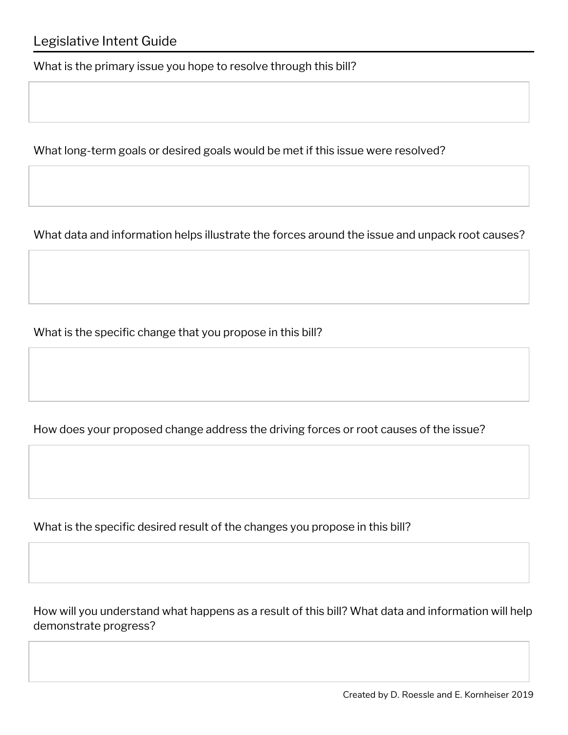What is the primary issue you hope to resolve through this bill?

What long-term goals or desired goals would be met if this issue were resolved?

What data and information helps illustrate the forces around the issue and unpack root causes?

What is the specific change that you propose in this bill?

How does your proposed change address the driving forces or root causes of the issue?

What is the specific desired result of the changes you propose in this bill?

How will you understand what happens as a result of this bill? What data and information will help demonstrate progress?